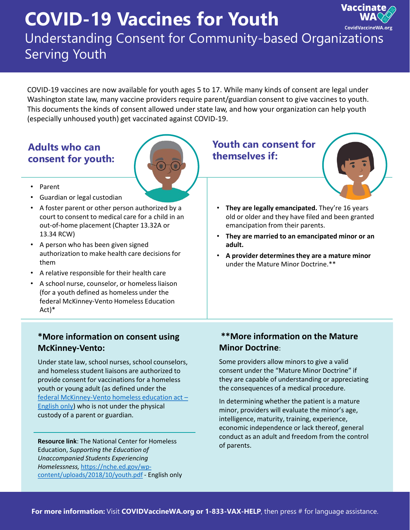# **COVID-19 Vaccines for Youth**



# Understanding Consent for Community-based Organizations Serving Youth

COVID-19 vaccines are now available for youth ages 5 to 17. While many kinds of consent are legal under Washington state law, many vaccine providers require parent/guardian consent to give vaccines to youth. This documents the kinds of consent allowed under state law, and how your organization can help youth (especially unhoused youth) get vaccinated against COVID-19.

## **Adults who can consent for youth:**



- Parent
- Guardian or legal custodian
- A foster parent or other person authorized by a court to consent to medical care for a child in an out-of-home placement (Chapter 13.32A or 13.34 RCW)
- A person who has been given signed authorization to make health care decisions for them
- A relative responsible for their health care
- A school nurse, counselor, or homeless liaison (for a youth defined as homeless under the federal McKinney-Vento Homeless Education Act)\*

#### **\*More information on consent using McKinney-Vento:**

Under state law, school nurses, school counselors, and homeless student liaisons are authorized to provide consent for vaccinations for a homeless youth or young adult (as defined under the [federal McKinney-Vento homeless education act](https://nche.ed.gov/wp-content/uploads/2018/10/youth.pdf) – English only) who is not under the physical custody of a parent or guardian.

**Resource link**: The National Center for Homeless Education, *Supporting the Education of Unaccompanied Students Experiencing Homelessness,* https://nche.ed.gov/wp[content/uploads/2018/10/youth.pdf](https://nche.ed.gov/wp-content/uploads/2018/10/youth.pdf) - English only

### **Youth can consent for themselves if:**



- **They are legally emancipated.** They're 16 years old or older and they have filed and been granted emancipation from their parents.
- **They are married to an emancipated minor or an adult.**
- **A provider determines they are a mature minor**  under the Mature Minor Doctrine.\*\*

#### **\*\*More information on the Mature Minor Doctrine**:

Some providers allow minors to give a valid consent under the "Mature Minor Doctrine" if they are capable of understanding or appreciating the consequences of a medical procedure.

In determining whether the patient is a mature minor, providers will evaluate the minor's age, intelligence, maturity, training, experience, economic independence or lack thereof, general conduct as an adult and freedom from the control of parents.